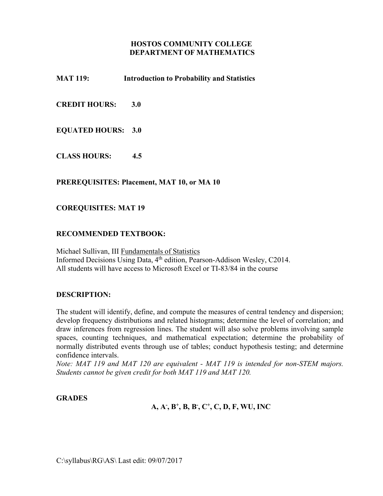## **HOSTOS COMMUNITY COLLEGE DEPARTMENT OF MATHEMATICS**

**MAT 119: Introduction to Probability and Statistics** 

**CREDIT HOURS: 3.0** 

## **EQUATED HOURS: 3.0**

**CLASS HOURS: 4.5** 

### **PREREQUISITES: Placement, MAT 10, or MA 10**

### **COREQUISITES: MAT 19**

## **RECOMMENDED TEXTBOOK:**

Michael Sullivan, III Fundamentals of Statistics Informed Decisions Using Data, 4<sup>th</sup> edition, Pearson-Addison Wesley, C2014. All students will have access to Microsoft Excel or TI-83/84 in the course

### **DESCRIPTION:**

The student will identify, define, and compute the measures of central tendency and dispersion; develop frequency distributions and related histograms; determine the level of correlation; and draw inferences from regression lines. The student will also solve problems involving sample spaces, counting techniques, and mathematical expectation; determine the probability of normally distributed events through use of tables; conduct hypothesis testing; and determine confidence intervals.

*Note: MAT 119 and MAT 120 are equivalent - MAT 119 is intended for non-STEM majors. Students cannot be given credit for both MAT 119 and MAT 120.* 

### **GRADES**

## **A, A- , B+, B, B- , C+, C, D, F, WU, INC**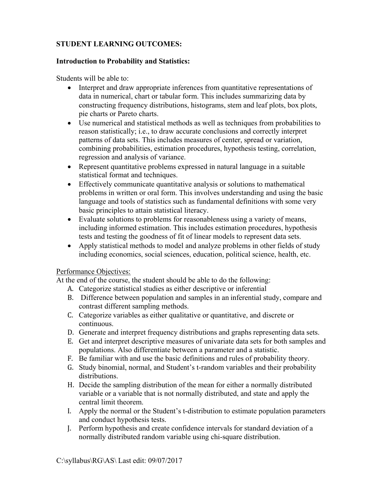# **STUDENT LEARNING OUTCOMES:**

# **Introduction to Probability and Statistics:**

Students will be able to:

- Interpret and draw appropriate inferences from quantitative representations of data in numerical, chart or tabular form. This includes summarizing data by constructing frequency distributions, histograms, stem and leaf plots, box plots, pie charts or Pareto charts.
- Use numerical and statistical methods as well as techniques from probabilities to reason statistically; i.e., to draw accurate conclusions and correctly interpret patterns of data sets. This includes measures of center, spread or variation, combining probabilities, estimation procedures, hypothesis testing, correlation, regression and analysis of variance.
- Represent quantitative problems expressed in natural language in a suitable statistical format and techniques.
- Effectively communicate quantitative analysis or solutions to mathematical problems in written or oral form. This involves understanding and using the basic language and tools of statistics such as fundamental definitions with some very basic principles to attain statistical literacy.
- Evaluate solutions to problems for reasonableness using a variety of means, including informed estimation. This includes estimation procedures, hypothesis tests and testing the goodness of fit of linear models to represent data sets.
- Apply statistical methods to model and analyze problems in other fields of study including economics, social sciences, education, political science, health, etc.

## Performance Objectives:

At the end of the course, the student should be able to do the following:

- A. Categorize statistical studies as either descriptive or inferential
- B. Difference between population and samples in an inferential study, compare and contrast different sampling methods.
- C. Categorize variables as either qualitative or quantitative, and discrete or continuous.
- D. Generate and interpret frequency distributions and graphs representing data sets.
- E. Get and interpret descriptive measures of univariate data sets for both samples and populations. Also differentiate between a parameter and a statistic.
- F. Be familiar with and use the basic definitions and rules of probability theory.
- G. Study binomial, normal, and Student's t-random variables and their probability distributions.
- H. Decide the sampling distribution of the mean for either a normally distributed variable or a variable that is not normally distributed, and state and apply the central limit theorem.
- I. Apply the normal or the Student's t-distribution to estimate population parameters and conduct hypothesis tests.
- J. Perform hypothesis and create confidence intervals for standard deviation of a normally distributed random variable using chi-square distribution.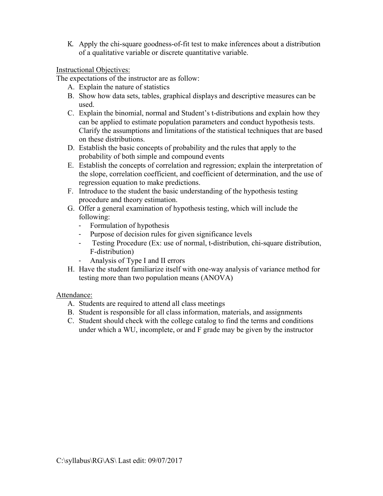K. Apply the chi-square goodness-of-fit test to make inferences about a distribution of a qualitative variable or discrete quantitative variable.

# Instructional Objectives:

The expectations of the instructor are as follow:

- A. Explain the nature of statistics
- B. Show how data sets, tables, graphical displays and descriptive measures can be used.
- C. Explain the binomial, normal and Student's t-distributions and explain how they can be applied to estimate population parameters and conduct hypothesis tests. Clarify the assumptions and limitations of the statistical techniques that are based on these distributions.
- D. Establish the basic concepts of probability and the rules that apply to the probability of both simple and compound events
- E. Establish the concepts of correlation and regression; explain the interpretation of the slope, correlation coefficient, and coefficient of determination, and the use of regression equation to make predictions.
- F. Introduce to the student the basic understanding of the hypothesis testing procedure and theory estimation.
- G. Offer a general examination of hypothesis testing, which will include the following:
	- Formulation of hypothesis
	- Purpose of decision rules for given significance levels
	- Testing Procedure (Ex: use of normal, t-distribution, chi-square distribution, F-distribution)
	- Analysis of Type I and II errors
- H. Have the student familiarize itself with one-way analysis of variance method for testing more than two population means (ANOVA)

## Attendance:

- A. Students are required to attend all class meetings
- B. Student is responsible for all class information, materials, and assignments
- C. Student should check with the college catalog to find the terms and conditions under which a WU, incomplete, or and F grade may be given by the instructor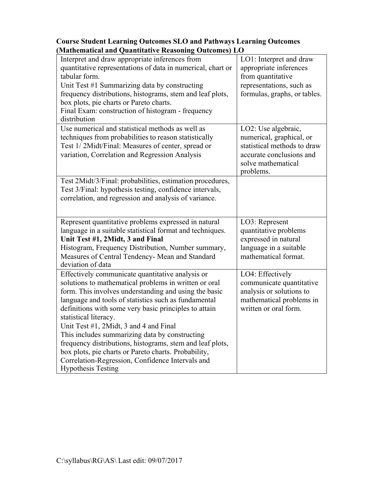| Interpret and draw appropriate inferences from<br>quantitative representations of data in numerical, chart or<br>tabular form.<br>Unit Test #1 Summarizing data by constructing<br>frequency distributions, histograms, stem and leaf plots,<br>box plots, pie charts or Pareto charts.<br>Final Exam: construction of histogram - frequency<br>distribution                                                                                                                                                                                                                                                   | LO1: Interpret and draw<br>appropriate inferences<br>from quantitative<br>representations, such as<br>formulas, graphs, or tables.            |
|----------------------------------------------------------------------------------------------------------------------------------------------------------------------------------------------------------------------------------------------------------------------------------------------------------------------------------------------------------------------------------------------------------------------------------------------------------------------------------------------------------------------------------------------------------------------------------------------------------------|-----------------------------------------------------------------------------------------------------------------------------------------------|
| Use numerical and statistical methods as well as<br>techniques from probabilities to reason statistically<br>Test 1/2Midt/Final: Measures of center, spread or<br>variation, Correlation and Regression Analysis                                                                                                                                                                                                                                                                                                                                                                                               | LO2: Use algebraic,<br>numerical, graphical, or<br>statistical methods to draw<br>accurate conclusions and<br>solve mathematical<br>problems. |
| Test 2Midt/3/Final: probabilities, estimation procedures,<br>Test 3/Final: hypothesis testing, confidence intervals,<br>correlation, and regression and analysis of variance.                                                                                                                                                                                                                                                                                                                                                                                                                                  |                                                                                                                                               |
| Represent quantitative problems expressed in natural<br>language in a suitable statistical format and techniques.<br>Unit Test #1, 2Midt, 3 and Final<br>Histogram, Frequency Distribution, Number summary,<br>Measures of Central Tendency- Mean and Standard<br>deviation of data                                                                                                                                                                                                                                                                                                                            | LO3: Represent<br>quantitative problems<br>expressed in natural<br>language in a suitable<br>mathematical format.                             |
| Effectively communicate quantitative analysis or<br>solutions to mathematical problems in written or oral<br>form. This involves understanding and using the basic<br>language and tools of statistics such as fundamental<br>definitions with some very basic principles to attain<br>statistical literacy.<br>Unit Test #1, 2Midt, 3 and 4 and Final<br>This includes summarizing data by constructing<br>frequency distributions, histograms, stem and leaf plots,<br>box plots, pie charts or Pareto charts. Probability,<br>Correlation-Regression, Confidence Intervals and<br><b>Hypothesis Testing</b> | LO4: Effectively<br>communicate quantitative<br>analysis or solutions to<br>mathematical problems in<br>written or oral form.                 |

# **Course Student Learning Outcomes SLO and Pathways Learning Outcomes (Mathematical and Quantitative Reasoning Outcomes) LO**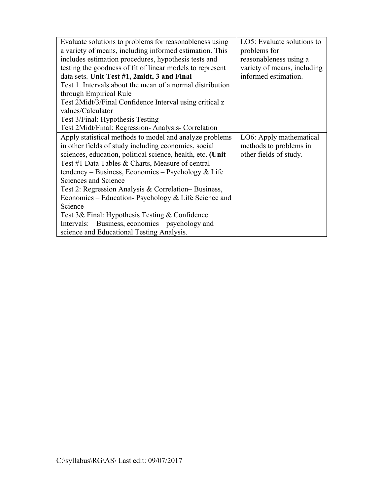| Evaluate solutions to problems for reasonableness using    | LO5: Evaluate solutions to  |
|------------------------------------------------------------|-----------------------------|
| a variety of means, including informed estimation. This    | problems for                |
| includes estimation procedures, hypothesis tests and       | reasonableness using a      |
| testing the goodness of fit of linear models to represent  | variety of means, including |
| data sets. Unit Test #1, 2midt, 3 and Final                | informed estimation.        |
| Test 1. Intervals about the mean of a normal distribution  |                             |
| through Empirical Rule                                     |                             |
| Test 2Midt/3/Final Confidence Interval using critical z    |                             |
| values/Calculator                                          |                             |
| Test 3/Final: Hypothesis Testing                           |                             |
| Test 2Midt/Final: Regression- Analysis- Correlation        |                             |
| Apply statistical methods to model and analyze problems    | LO6: Apply mathematical     |
| in other fields of study including economics, social       | methods to problems in      |
| sciences, education, political science, health, etc. (Unit | other fields of study.      |
| Test #1 Data Tables & Charts, Measure of central           |                             |
| tendency – Business, Economics – Psychology & Life         |                             |
| Sciences and Science                                       |                             |
| Test 2: Regression Analysis & Correlation–Business,        |                             |
| Economics – Education- Psychology & Life Science and       |                             |
| Science                                                    |                             |
| Test 3& Final: Hypothesis Testing & Confidence             |                             |
| Intervals: – Business, economics – psychology and          |                             |
| science and Educational Testing Analysis.                  |                             |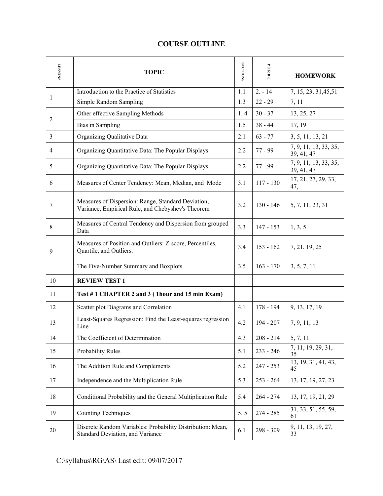# **COURSE OUTLINE**

| <b>LESSONS</b> | <b>TOPIC</b>                                                                                            | <b>SECTIONS</b> | PTRBC       | <b>HOMEWORK</b>                     |
|----------------|---------------------------------------------------------------------------------------------------------|-----------------|-------------|-------------------------------------|
|                | Introduction to the Practice of Statistics                                                              | 1.1             | $2. - 14$   | 7, 15, 23, 31, 45, 51               |
| 1              | Simple Random Sampling                                                                                  | 1.3             | $22 - 29$   | 7, 11                               |
|                | Other effective Sampling Methods                                                                        | 1.4             | $30 - 37$   | 13, 25, 27                          |
| $\overline{2}$ | <b>Bias</b> in Sampling                                                                                 | 1.5             | $38 - 44$   | 17, 19                              |
| 3              | Organizing Qualitative Data                                                                             | 2.1             | $63 - 77$   | 3, 5, 11, 13, 21                    |
| 4              | Organizing Quantitative Data: The Popular Displays                                                      | 2.2             | $77 - 99$   | 7, 9, 11, 13, 33, 35,<br>39, 41, 47 |
| 5              | Organizing Quantitative Data: The Popular Displays                                                      | 2.2             | $77 - 99$   | 7, 9, 11, 13, 33, 35,<br>39, 41, 47 |
| 6              | Measures of Center Tendency: Mean, Median, and Mode                                                     | 3.1             | $117 - 130$ | 17, 21, 27, 29, 33,<br>47,          |
| 7              | Measures of Dispersion: Range, Standard Deviation,<br>Variance, Empirical Rule, and Chebyshev's Theorem | 3.2             | $130 - 146$ | 5, 7, 11, 23, 31                    |
| 8              | Measures of Central Tendency and Dispersion from grouped<br>Data                                        | 3.3             | 147 - 153   | 1, 3, 5                             |
| 9              | Measures of Position and Outliers: Z-score, Percentiles,<br>Quartile, and Outliers.                     | 3.4             | $153 - 162$ | 7, 21, 19, 25                       |
|                | The Five-Number Summary and Boxplots                                                                    | 3.5             | $163 - 170$ | 3, 5, 7, 11                         |
| 10             | <b>REVIEW TEST 1</b>                                                                                    |                 |             |                                     |
| 11             | Test #1 CHAPTER 2 and 3 (1hour and 15 min Exam)                                                         |                 |             |                                     |
| 12             | Scatter plot Diagrams and Correlation                                                                   | 4.1             | 178 - 194   | 9, 13, 17, 19                       |
| 13             | Least-Squares Regression: Find the Least-squares regression<br>Line                                     | 4.2             | 194 - 207   | 7, 9, 11, 13                        |
| 14             | The Coefficient of Determination                                                                        | 4.3             | $208 - 214$ | 5, 7, 11                            |
| 15             | Probability Rules                                                                                       | 5.1             | $233 - 246$ | 7, 11, 19, 29, 31,<br>35            |
| 16             | The Addition Rule and Complements                                                                       | 5.2             | $247 - 253$ | 13, 19, 31, 41, 43,<br>45           |
| 17             | Independence and the Multiplication Rule                                                                | 5.3             | $253 - 264$ | 13, 17, 19, 27, 23                  |
| 18             | Conditional Probability and the General Multiplication Rule                                             | 5.4             | $264 - 274$ | 13, 17, 19, 21, 29                  |
| 19             | <b>Counting Techniques</b>                                                                              | 5.5             | $274 - 285$ | 31, 33, 51, 55, 59,<br>61           |
| 20             | Discrete Random Variables: Probability Distribution: Mean,<br>Standard Deviation, and Variance          | 6.1             | 298 - 309   | 9, 11, 13, 19, 27,<br>33            |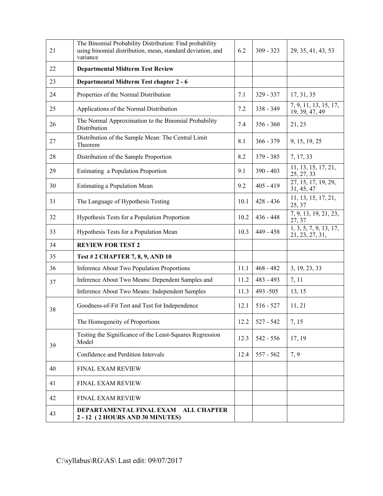| 21 | The Binomial Probability Distribution: Find probability<br>using binomial distribution, mean, standard deviation, and<br>variance | 6.2  | $309 - 323$ | 29, 35, 41, 43, 53                        |
|----|-----------------------------------------------------------------------------------------------------------------------------------|------|-------------|-------------------------------------------|
| 22 | <b>Departmental Midterm Test Review</b>                                                                                           |      |             |                                           |
| 23 | Departmental Midterm Test chapter 2 - 6                                                                                           |      |             |                                           |
| 24 | Properties of the Normal Distribution                                                                                             | 7.1  | 329 - 337   | 17, 31, 35                                |
| 25 | Applications of the Normal Distribution                                                                                           | 7.2  | 338 - 349   | 7, 9, 11, 13, 15, 17,<br>19, 39, 47, 49   |
| 26 | The Normal Approximation to the Binomial Probability<br>Distribution                                                              | 7.4  | $356 - 360$ | 21, 23                                    |
| 27 | Distribution of the Sample Mean: The Central Limit<br>Theorem                                                                     | 8.1  | $366 - 379$ | 9, 15, 19, 25                             |
| 28 | Distribution of the Sample Proportion                                                                                             | 8.2  | 379 - 385   | 7, 17, 33                                 |
| 29 | Estimating a Population Proportion                                                                                                | 9.1  | $390 - 403$ | 11, 13, 15, 17, 21,<br>25, 27, 33         |
| 30 | <b>Estimating a Population Mean</b>                                                                                               | 9.2  | $405 - 419$ | 27, 15, 17, 19, 29,<br>31, 45, 47         |
| 31 | The Language of Hypothesis Testing                                                                                                | 10.1 | $428 - 436$ | 11, 13, 15, 17, 21,<br>25, 37             |
| 32 | Hypothesis Tests for a Population Proportion                                                                                      | 10.2 | $436 - 448$ | 7, 9, 13, 19, 21, 23,<br>27, 37           |
| 33 | Hypothesis Tests for a Population Mean                                                                                            | 10.3 | 449 - 458   | 1, 3, 5, 7, 9, 13, 17,<br>21, 23, 27, 31, |
| 34 | <b>REVIEW FOR TEST 2</b>                                                                                                          |      |             |                                           |
| 35 | <b>Test #2 CHAPTER 7, 8, 9, AND 10</b>                                                                                            |      |             |                                           |
| 36 | Inference About Two Population Proportions                                                                                        | 11.1 | $468 - 482$ | 3, 19, 23, 33                             |
| 37 | Inference About Two Means: Dependent Samples and                                                                                  | 11.2 | 483 - 493   | 7, 11                                     |
|    | Inference About Two Means: Independent Samples                                                                                    | 11.3 | 493 - 505   | 13, 15                                    |
| 38 | Goodness-of-Fit Test and Test for Independence                                                                                    | 12.1 | $516 - 527$ | 11, 21                                    |
|    | The Homogeneity of Proportions                                                                                                    | 12.2 | 527 - 542   | 7, 15                                     |
| 39 | Testing the Significance of the Least-Squares Regression<br>Model                                                                 | 12.3 | 542 - 556   | 17, 19                                    |
|    | Confidence and Perdition Intervals                                                                                                | 12.4 | $557 - 562$ | 7, 9                                      |
| 40 | FINAL EXAM REVIEW                                                                                                                 |      |             |                                           |
| 41 | <b>FINAL EXAM REVIEW</b>                                                                                                          |      |             |                                           |
| 42 | FINAL EXAM REVIEW                                                                                                                 |      |             |                                           |
| 43 | DEPARTAMENTAL FINAL EXAM<br><b>ALL CHAPTER</b><br>2 - 12 (2 HOURS AND 30 MINUTES)                                                 |      |             |                                           |